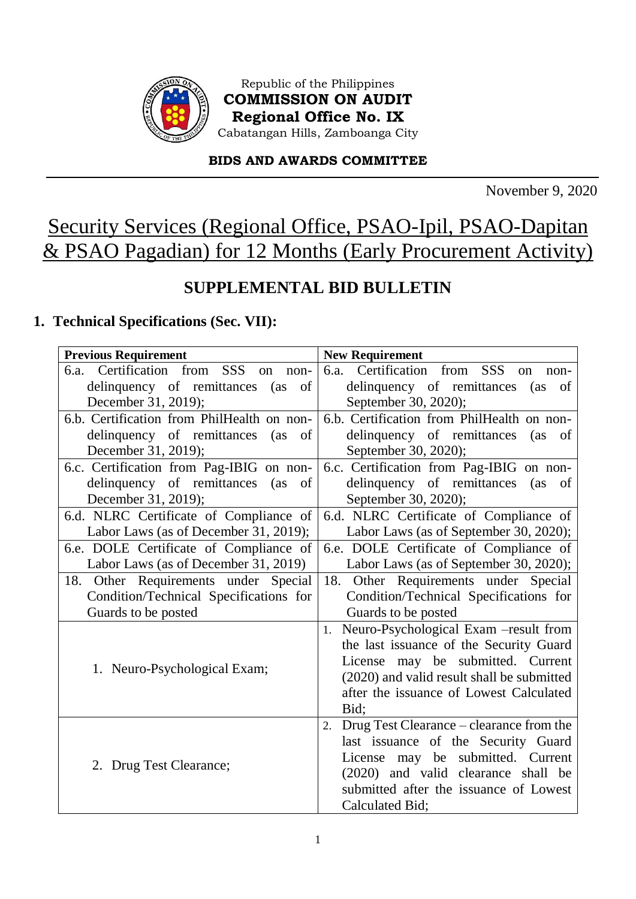

Republic of the Philippines **COMMISSION ON AUDIT Regional Office No. IX** Cabatangan Hills, Zamboanga City

### **BIDS AND AWARDS COMMITTEE**

November 9, 2020

# Security Services (Regional Office, PSAO-Ipil, PSAO-Dapitan & PSAO Pagadian) for 12 Months (Early Procurement Activity)

# **SUPPLEMENTAL BID BULLETIN**

# **1. Technical Specifications (Sec. VII):**

| <b>Previous Requirement</b><br><b>New Requirement</b> |                                                |  |  |
|-------------------------------------------------------|------------------------------------------------|--|--|
| 6.a. Certification<br>from SSS<br>on<br>non-          | 6.a. Certification from SSS<br>on<br>non-      |  |  |
| delinquency of remittances<br>of<br>(as)              | delinquency of remittances<br>(as<br>of        |  |  |
| December 31, 2019);                                   | September 30, 2020);                           |  |  |
| 6.b. Certification from PhilHealth on non-            | 6.b. Certification from PhilHealth on non-     |  |  |
| delinquency of remittances<br>of<br>(as)              | delinquency of remittances<br>(as<br>of        |  |  |
| December 31, 2019);                                   | September 30, 2020);                           |  |  |
| 6.c. Certification from Pag-IBIG on non-              | 6.c. Certification from Pag-IBIG on non-       |  |  |
| delinquency of remittances<br>of<br>(as               | delinquency of remittances<br>(as of           |  |  |
| December 31, 2019);                                   | September 30, 2020);                           |  |  |
| 6.d. NLRC Certificate of Compliance of                | 6.d. NLRC Certificate of Compliance of         |  |  |
| Labor Laws (as of December 31, 2019);                 | Labor Laws (as of September 30, 2020);         |  |  |
| 6.e. DOLE Certificate of Compliance of                | 6.e. DOLE Certificate of Compliance of         |  |  |
| Labor Laws (as of December 31, 2019)                  | Labor Laws (as of September 30, 2020);         |  |  |
| 18. Other Requirements under Special                  | Other Requirements under Special<br>18.        |  |  |
| Condition/Technical Specifications for                | Condition/Technical Specifications for         |  |  |
| Guards to be posted                                   | Guards to be posted                            |  |  |
|                                                       | Neuro-Psychological Exam -result from<br>1.    |  |  |
|                                                       | the last issuance of the Security Guard        |  |  |
| 1. Neuro-Psychological Exam;                          | License may be submitted. Current              |  |  |
|                                                       | (2020) and valid result shall be submitted     |  |  |
|                                                       | after the issuance of Lowest Calculated        |  |  |
|                                                       | Bid;                                           |  |  |
|                                                       | Drug Test Clearance – clearance from the<br>2. |  |  |
|                                                       | last issuance of the Security Guard            |  |  |
| 2. Drug Test Clearance;                               | License may be submitted. Current              |  |  |
|                                                       | (2020) and valid clearance shall be            |  |  |
|                                                       | submitted after the issuance of Lowest         |  |  |
|                                                       | Calculated Bid;                                |  |  |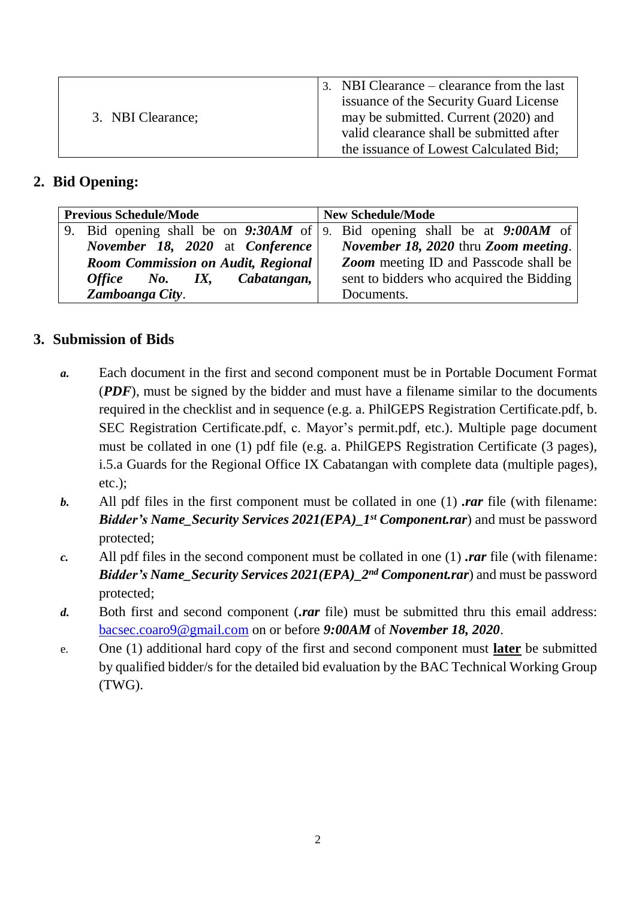| 3. NBI Clearance; | 3. NBI Clearance – clearance from the last<br>issuance of the Security Guard License<br>may be submitted. Current (2020) and<br>valid clearance shall be submitted after<br>the issuance of Lowest Calculated Bid; |
|-------------------|--------------------------------------------------------------------------------------------------------------------------------------------------------------------------------------------------------------------|
|-------------------|--------------------------------------------------------------------------------------------------------------------------------------------------------------------------------------------------------------------|

### **2. Bid Opening:**

|                                                                                           | <b>Previous Schedule/Mode</b>   | <b>New Schedule/Mode</b>                                                      |  |  |
|-------------------------------------------------------------------------------------------|---------------------------------|-------------------------------------------------------------------------------|--|--|
|                                                                                           |                                 | 9. Bid opening shall be on $9:30AM$ of 9. Bid opening shall be at $9:00AM$ of |  |  |
|                                                                                           | November 18, 2020 at Conference | <i>November 18, 2020</i> thru <i>Zoom meeting</i> .                           |  |  |
| <b>Zoom</b> meeting ID and Passcode shall be<br><b>Room Commission on Audit, Regional</b> |                                 |                                                                               |  |  |
|                                                                                           | Office No. IX, Cabatangan,      | sent to bidders who acquired the Bidding                                      |  |  |
|                                                                                           | Zamboanga City.                 | Documents.                                                                    |  |  |

## **3. Submission of Bids**

- *a.* Each document in the first and second component must be in Portable Document Format (*PDF*), must be signed by the bidder and must have a filename similar to the documents required in the checklist and in sequence (e.g. a. PhilGEPS Registration Certificate.pdf, b. SEC Registration Certificate.pdf, c. Mayor's permit.pdf, etc.). Multiple page document must be collated in one (1) pdf file (e.g. a. PhilGEPS Registration Certificate (3 pages), i.5.a Guards for the Regional Office IX Cabatangan with complete data (multiple pages), etc.);
- *b.* All pdf files in the first component must be collated in one (1) *.rar* file (with filename: *Bidder's Name\_Security Services 2021(EPA)\_1st Component.rar*) and must be password protected;
- *c.* All pdf files in the second component must be collated in one (1) *.rar* file (with filename: *Bidder's Name\_Security Services 2021(EPA)\_2<sup>nd</sup> Component.rar)* and must be password protected;
- *d.* Both first and second component (*.rar* file) must be submitted thru this email address: [bacsec.coaro9@gmail.com](mailto:bacsec.coaro9@gmail.com) on or before *9:00AM* of *November 18, 2020*.
- e. One (1) additional hard copy of the first and second component must **later** be submitted by qualified bidder/s for the detailed bid evaluation by the BAC Technical Working Group (TWG).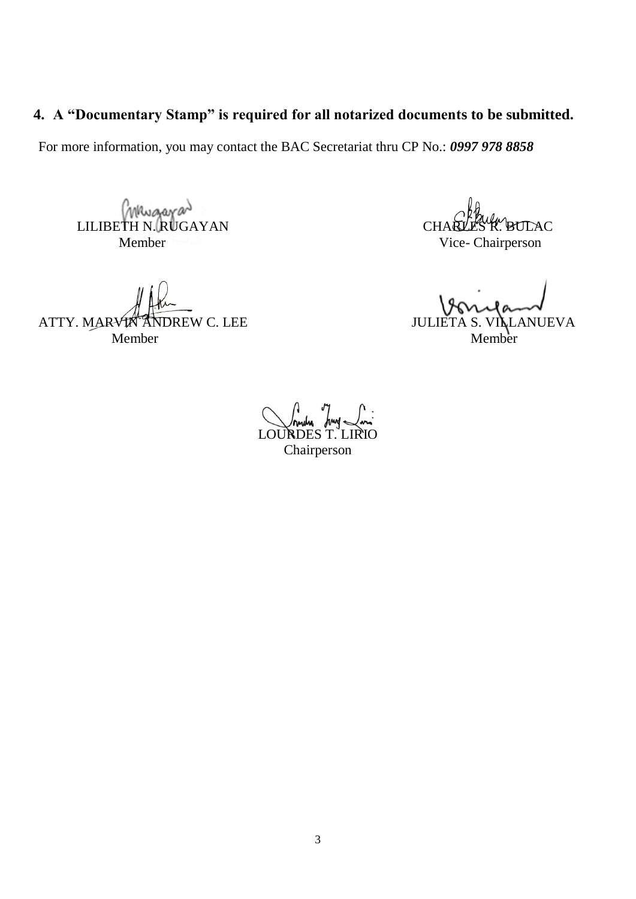# **4. A "Documentary Stamp" is required for all notarized documents to be submitted.**

For more information, you may contact the BAC Secretariat thru CP No.: *0997 978 8858*

CHARLES R. BULLIBETH N. RUGAYAN Member Vice- Chairperson

ATTY. MARVIN ANDREW C. LEE JULIETA S. VILLANUEVA Member Member

LOURDES T. LIRIO Chairperson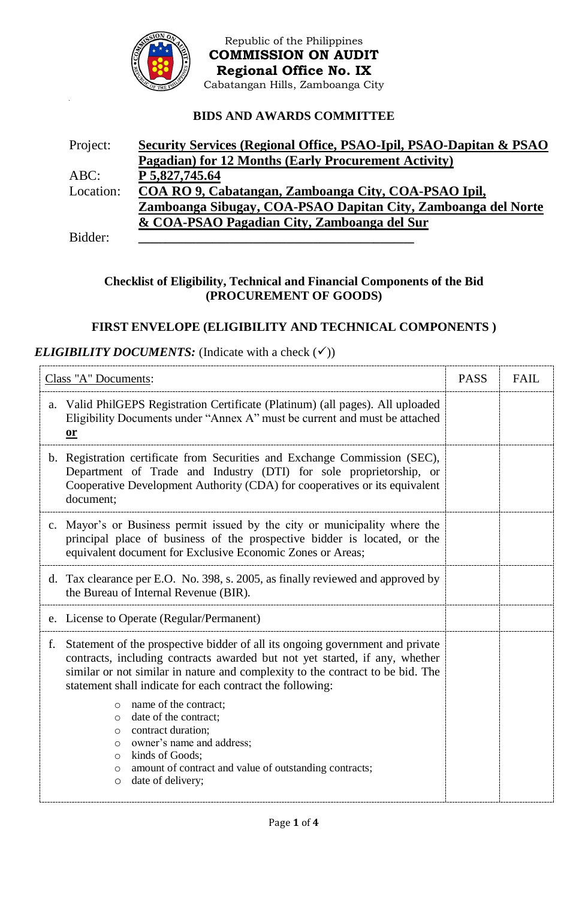

Republic of the Philippines **COMMISSION ON AUDIT Regional Office No. IX** Cabatangan Hills, Zamboanga City

#### **BIDS AND AWARDS COMMITTEE**

| Project:  | Security Services (Regional Office, PSAO-Ipil, PSAO-Dapitan & PSAO |
|-----------|--------------------------------------------------------------------|
|           | Pagadian) for 12 Months (Early Procurement Activity)               |
| ABC:      | P 5,827,745.64                                                     |
| Location: | COA RO 9, Cabatangan, Zamboanga City, COA-PSAO Ipil,               |
|           | Zamboanga Sibugay, COA-PSAO Dapitan City, Zamboanga del Norte      |
|           | & COA-PSAO Pagadian City, Zamboanga del Sur                        |
| Bidder:   |                                                                    |

#### **Checklist of Eligibility, Technical and Financial Components of the Bid (PROCUREMENT OF GOODS)**

### **FIRST ENVELOPE (ELIGIBILITY AND TECHNICAL COMPONENTS )**

#### *ELIGIBILITY DOCUMENTS:* (Indicate with a check  $(\checkmark)$ )

|    | Class "A" Documents:                                                                                                                                                                                                                                                                                                                                                                                                                                         | <b>PASS</b> | <b>FAIL</b> |
|----|--------------------------------------------------------------------------------------------------------------------------------------------------------------------------------------------------------------------------------------------------------------------------------------------------------------------------------------------------------------------------------------------------------------------------------------------------------------|-------------|-------------|
| a. | Valid PhilGEPS Registration Certificate (Platinum) (all pages). All uploaded<br>Eligibility Documents under "Annex A" must be current and must be attached<br>$\overline{\textbf{or}}$                                                                                                                                                                                                                                                                       |             |             |
|    | b. Registration certificate from Securities and Exchange Commission (SEC),<br>Department of Trade and Industry (DTI) for sole proprietorship, or<br>Cooperative Development Authority (CDA) for cooperatives or its equivalent<br>document;                                                                                                                                                                                                                  |             |             |
|    | c. Mayor's or Business permit issued by the city or municipality where the<br>principal place of business of the prospective bidder is located, or the<br>equivalent document for Exclusive Economic Zones or Areas;                                                                                                                                                                                                                                         |             |             |
|    | d. Tax clearance per E.O. No. 398, s. 2005, as finally reviewed and approved by<br>the Bureau of Internal Revenue (BIR).                                                                                                                                                                                                                                                                                                                                     |             |             |
|    | e. License to Operate (Regular/Permanent)                                                                                                                                                                                                                                                                                                                                                                                                                    |             |             |
| f. | Statement of the prospective bidder of all its ongoing government and private<br>contracts, including contracts awarded but not yet started, if any, whether<br>similar or not similar in nature and complexity to the contract to be bid. The<br>statement shall indicate for each contract the following:<br>name of the contract;<br>$\circ$<br>date of the contract;<br>$\circ$<br>contract duration;<br>$\circ$<br>owner's name and address;<br>$\circ$ |             |             |
|    | kinds of Goods;<br>$\circ$<br>amount of contract and value of outstanding contracts;<br>$\circ$<br>date of delivery;<br>$\circ$                                                                                                                                                                                                                                                                                                                              |             |             |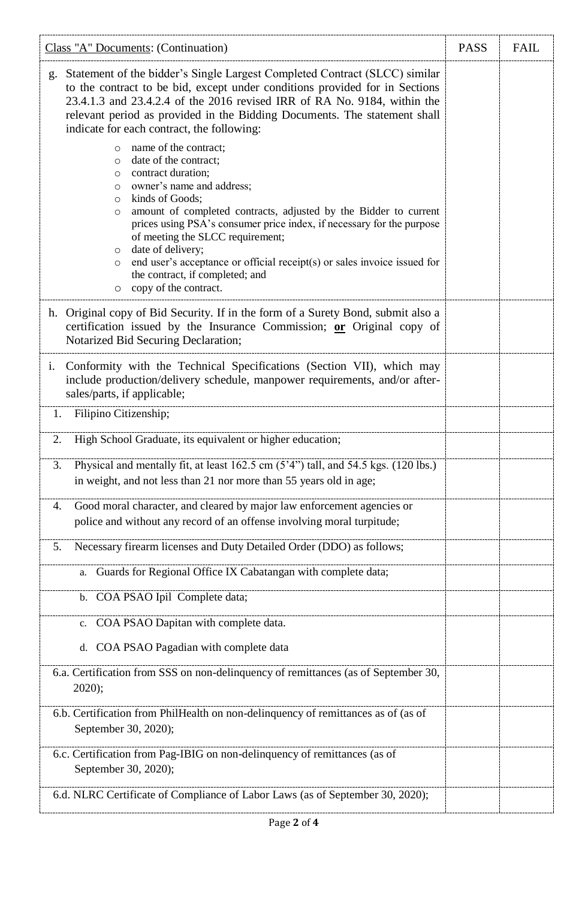| Class "A" Documents: (Continuation)                                                                                                                                                                                                                                                                                                                                                                                                                                                                                                                          | <b>PASS</b> | <b>FAIL</b> |
|--------------------------------------------------------------------------------------------------------------------------------------------------------------------------------------------------------------------------------------------------------------------------------------------------------------------------------------------------------------------------------------------------------------------------------------------------------------------------------------------------------------------------------------------------------------|-------------|-------------|
| Statement of the bidder's Single Largest Completed Contract (SLCC) similar<br>g.<br>to the contract to be bid, except under conditions provided for in Sections<br>23.4.1.3 and 23.4.2.4 of the 2016 revised IRR of RA No. 9184, within the<br>relevant period as provided in the Bidding Documents. The statement shall<br>indicate for each contract, the following:                                                                                                                                                                                       |             |             |
| name of the contract;<br>$\circ$<br>date of the contract;<br>$\circ$<br>contract duration;<br>$\circ$<br>owner's name and address;<br>$\circ$<br>kinds of Goods;<br>$\circ$<br>amount of completed contracts, adjusted by the Bidder to current<br>$\circ$<br>prices using PSA's consumer price index, if necessary for the purpose<br>of meeting the SLCC requirement;<br>date of delivery;<br>$\circ$<br>end user's acceptance or official receipt(s) or sales invoice issued for<br>$\circ$<br>the contract, if completed; and<br>o copy of the contract. |             |             |
| Original copy of Bid Security. If in the form of a Surety Bond, submit also a<br>h.<br>certification issued by the Insurance Commission; or Original copy of<br>Notarized Bid Securing Declaration;                                                                                                                                                                                                                                                                                                                                                          |             |             |
| Conformity with the Technical Specifications (Section VII), which may<br>$i$ .<br>include production/delivery schedule, manpower requirements, and/or after-<br>sales/parts, if applicable;                                                                                                                                                                                                                                                                                                                                                                  |             |             |
| Filipino Citizenship;<br>1.                                                                                                                                                                                                                                                                                                                                                                                                                                                                                                                                  |             |             |
| 2.<br>High School Graduate, its equivalent or higher education;                                                                                                                                                                                                                                                                                                                                                                                                                                                                                              |             |             |
| Physical and mentally fit, at least 162.5 cm (5'4") tall, and 54.5 kgs. (120 lbs.)<br>3.<br>in weight, and not less than 21 nor more than 55 years old in age;                                                                                                                                                                                                                                                                                                                                                                                               |             |             |
| Good moral character, and cleared by major law enforcement agencies or<br>4.<br>police and without any record of an offense involving moral turpitude;                                                                                                                                                                                                                                                                                                                                                                                                       |             |             |
| Necessary firearm licenses and Duty Detailed Order (DDO) as follows;<br>5.                                                                                                                                                                                                                                                                                                                                                                                                                                                                                   |             |             |
| Guards for Regional Office IX Cabatangan with complete data;<br>a.                                                                                                                                                                                                                                                                                                                                                                                                                                                                                           |             |             |
| COA PSAO Ipil Complete data;<br>b.                                                                                                                                                                                                                                                                                                                                                                                                                                                                                                                           |             |             |
| COA PSAO Dapitan with complete data.<br>c.                                                                                                                                                                                                                                                                                                                                                                                                                                                                                                                   |             |             |
| COA PSAO Pagadian with complete data<br>d.                                                                                                                                                                                                                                                                                                                                                                                                                                                                                                                   |             |             |
| 6.a. Certification from SSS on non-delinquency of remittances (as of September 30,<br>$2020$ ;                                                                                                                                                                                                                                                                                                                                                                                                                                                               |             |             |
| 6.b. Certification from PhilHealth on non-delinquency of remittances as of (as of<br>September 30, 2020);                                                                                                                                                                                                                                                                                                                                                                                                                                                    |             |             |
| 6.c. Certification from Pag-IBIG on non-delinquency of remittances (as of<br>September 30, 2020);                                                                                                                                                                                                                                                                                                                                                                                                                                                            |             |             |
| 6.d. NLRC Certificate of Compliance of Labor Laws (as of September 30, 2020);                                                                                                                                                                                                                                                                                                                                                                                                                                                                                |             |             |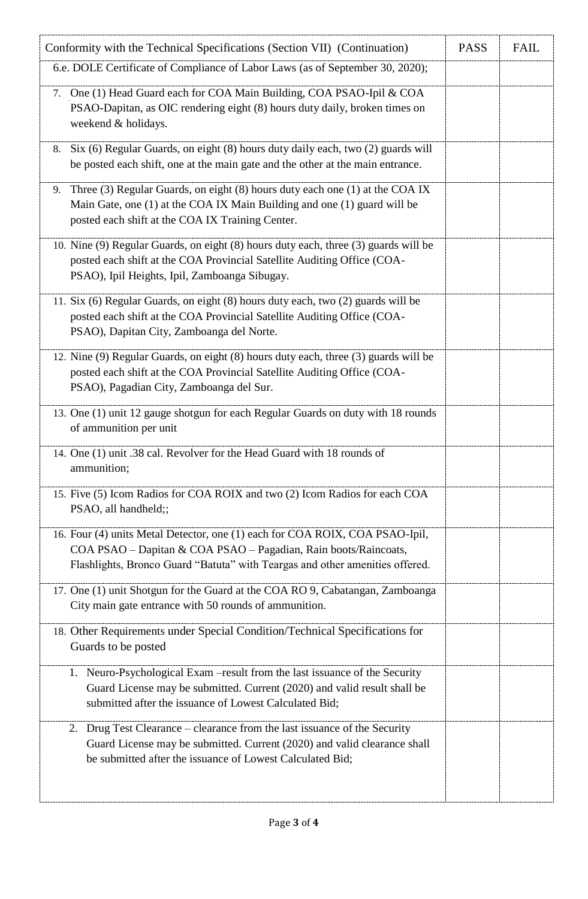| Conformity with the Technical Specifications (Section VII) (Continuation)                                                                                                                                                       | <b>PASS</b> | <b>FAIL</b> |
|---------------------------------------------------------------------------------------------------------------------------------------------------------------------------------------------------------------------------------|-------------|-------------|
| 6.e. DOLE Certificate of Compliance of Labor Laws (as of September 30, 2020);                                                                                                                                                   |             |             |
| One (1) Head Guard each for COA Main Building, COA PSAO-Ipil & COA<br>7.<br>PSAO-Dapitan, as OIC rendering eight (8) hours duty daily, broken times on<br>weekend & holidays.                                                   |             |             |
| Six (6) Regular Guards, on eight (8) hours duty daily each, two (2) guards will<br>8.<br>be posted each shift, one at the main gate and the other at the main entrance.                                                         |             |             |
| Three (3) Regular Guards, on eight (8) hours duty each one (1) at the COA IX<br>9.<br>Main Gate, one (1) at the COA IX Main Building and one (1) guard will be<br>posted each shift at the COA IX Training Center.              |             |             |
| 10. Nine (9) Regular Guards, on eight (8) hours duty each, three (3) guards will be<br>posted each shift at the COA Provincial Satellite Auditing Office (COA-<br>PSAO), Ipil Heights, Ipil, Zamboanga Sibugay.                 |             |             |
| 11. Six (6) Regular Guards, on eight (8) hours duty each, two (2) guards will be<br>posted each shift at the COA Provincial Satellite Auditing Office (COA-<br>PSAO), Dapitan City, Zamboanga del Norte.                        |             |             |
| 12. Nine (9) Regular Guards, on eight (8) hours duty each, three (3) guards will be<br>posted each shift at the COA Provincial Satellite Auditing Office (COA-<br>PSAO), Pagadian City, Zamboanga del Sur.                      |             |             |
| 13. One (1) unit 12 gauge shotgun for each Regular Guards on duty with 18 rounds<br>of ammunition per unit                                                                                                                      |             |             |
| 14. One (1) unit .38 cal. Revolver for the Head Guard with 18 rounds of<br>ammunition;                                                                                                                                          |             |             |
| 15. Five (5) Icom Radios for COA ROIX and two (2) Icom Radios for each COA<br>PSAO, all handheld;;                                                                                                                              |             |             |
| 16. Four (4) units Metal Detector, one (1) each for COA ROIX, COA PSAO-Ipil,<br>COA PSAO - Dapitan & COA PSAO - Pagadian, Rain boots/Raincoats,<br>Flashlights, Bronco Guard "Batuta" with Teargas and other amenities offered. |             |             |
| 17. One (1) unit Shotgun for the Guard at the COA RO 9, Cabatangan, Zamboanga<br>City main gate entrance with 50 rounds of ammunition.                                                                                          |             |             |
| 18. Other Requirements under Special Condition/Technical Specifications for<br>Guards to be posted                                                                                                                              |             |             |
| 1. Neuro-Psychological Exam - result from the last issuance of the Security<br>Guard License may be submitted. Current (2020) and valid result shall be<br>submitted after the issuance of Lowest Calculated Bid;               |             |             |
| 2. Drug Test Clearance – clearance from the last issuance of the Security<br>Guard License may be submitted. Current (2020) and valid clearance shall<br>be submitted after the issuance of Lowest Calculated Bid;              |             |             |
|                                                                                                                                                                                                                                 |             |             |